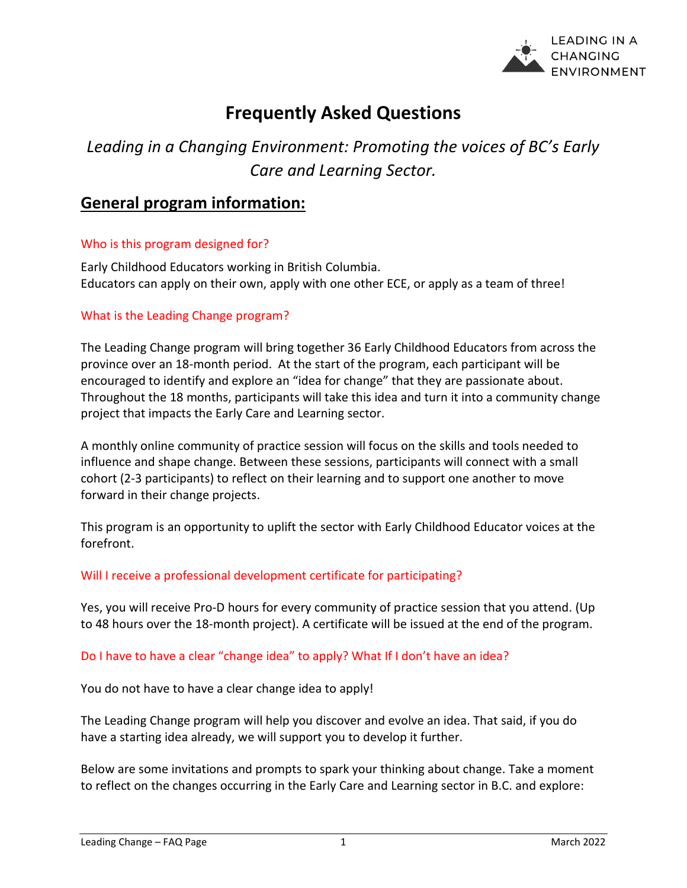

# **Frequently Asked Questions**

# *Leading in a Changing Environment: Promoting the voices of BC's Early Care and Learning Sector.*

# **General program information:**

# Who is this program designed for?

Early Childhood Educators working in British Columbia. Educators can apply on their own, apply with one other ECE, or apply as a team of three!

# What is the Leading Change program?

The Leading Change program will bring together 36 Early Childhood Educators from across the province over an 18-month period. At the start of the program, each participant will be encouraged to identify and explore an "idea for change" that they are passionate about. Throughout the 18 months, participants will take this idea and turn it into a community change project that impacts the Early Care and Learning sector.

A monthly online community of practice session will focus on the skills and tools needed to influence and shape change. Between these sessions, participants will connect with a small cohort (2-3 participants) to reflect on their learning and to support one another to move forward in their change projects.

This program is an opportunity to uplift the sector with Early Childhood Educator voices at the forefront.

# Will I receive a professional development certificate for participating?

Yes, you will receive Pro-D hours for every community of practice session that you attend. (Up to 48 hours over the 18-month project). A certificate will be issued at the end of the program.

# Do I have to have a clear "change idea" to apply? What If I don't have an idea?

You do not have to have a clear change idea to apply!

The Leading Change program will help you discover and evolve an idea. That said, if you do have a starting idea already, we will support you to develop it further.

Below are some invitations and prompts to spark your thinking about change. Take a moment to reflect on the changes occurring in the Early Care and Learning sector in B.C. and explore: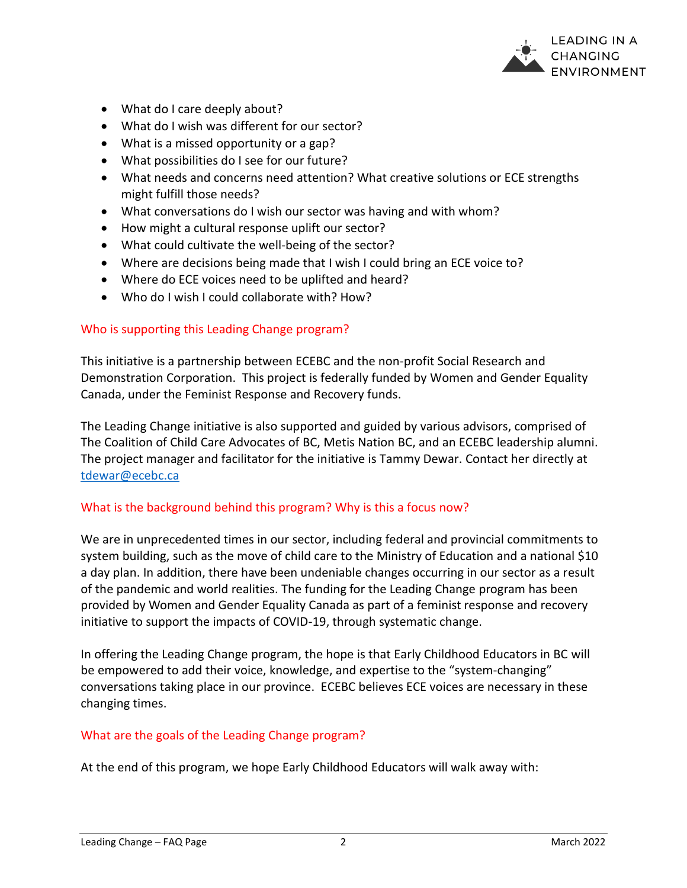

- What do I care deeply about?
- What do I wish was different for our sector?
- What is a missed opportunity or a gap?
- What possibilities do I see for our future?
- What needs and concerns need attention? What creative solutions or ECE strengths might fulfill those needs?
- What conversations do I wish our sector was having and with whom?
- How might a cultural response uplift our sector?
- What could cultivate the well-being of the sector?
- Where are decisions being made that I wish I could bring an ECE voice to?
- Where do ECE voices need to be uplifted and heard?
- Who do I wish I could collaborate with? How?

### Who is supporting this Leading Change program?

This initiative is a partnership between ECEBC and the non-profit Social Research and Demonstration Corporation. This project is federally funded by Women and Gender Equality Canada, under the Feminist Response and Recovery funds.

The Leading Change initiative is also supported and guided by various advisors, comprised of The Coalition of Child Care Advocates of BC, Metis Nation BC, and an ECEBC leadership alumni. The project manager and facilitator for the initiative is Tammy Dewar. Contact her directly at [tdewar@ecebc.ca](mailto:tdewar@ecebc.ca)

### What is the background behind this program? Why is this a focus now?

We are in unprecedented times in our sector, including federal and provincial commitments to system building, such as the move of child care to the Ministry of Education and a national \$10 a day plan. In addition, there have been undeniable changes occurring in our sector as a result of the pandemic and world realities. The funding for the Leading Change program has been provided by Women and Gender Equality Canada as part of a feminist response and recovery initiative to support the impacts of COVID-19, through systematic change.

In offering the Leading Change program, the hope is that Early Childhood Educators in BC will be empowered to add their voice, knowledge, and expertise to the "system-changing" conversations taking place in our province. ECEBC believes ECE voices are necessary in these changing times.

### What are the goals of the Leading Change program?

At the end of this program, we hope Early Childhood Educators will walk away with: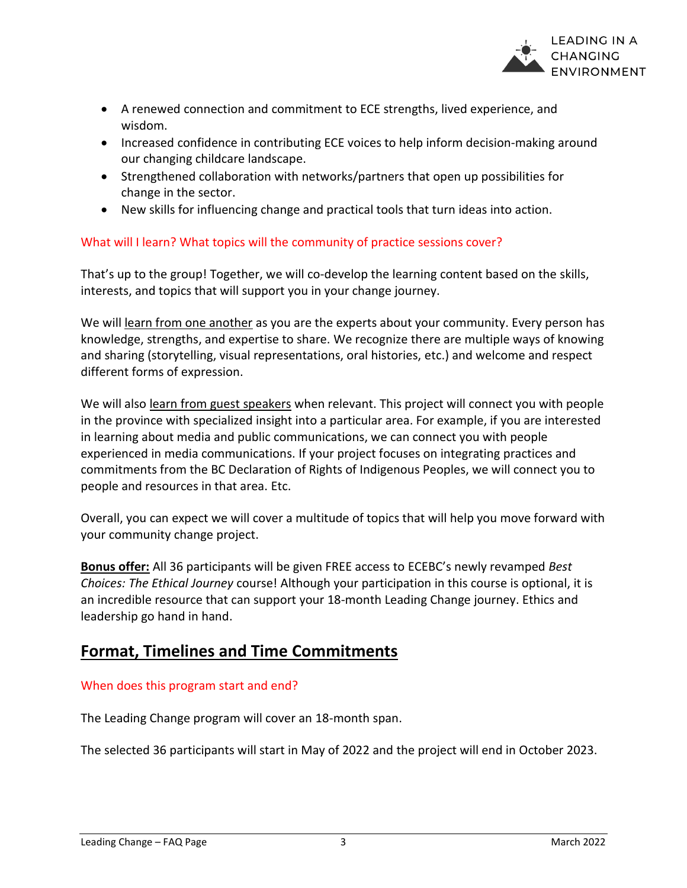

- A renewed connection and commitment to ECE strengths, lived experience, and wisdom.
- Increased confidence in contributing ECE voices to help inform decision-making around our changing childcare landscape.
- Strengthened collaboration with networks/partners that open up possibilities for change in the sector.
- New skills for influencing change and practical tools that turn ideas into action.

# What will I learn? What topics will the community of practice sessions cover?

That's up to the group! Together, we will co-develop the learning content based on the skills, interests, and topics that will support you in your change journey.

We will learn from one another as you are the experts about your community. Every person has knowledge, strengths, and expertise to share. We recognize there are multiple ways of knowing and sharing (storytelling, visual representations, oral histories, etc.) and welcome and respect different forms of expression.

We will also learn from guest speakers when relevant. This project will connect you with people in the province with specialized insight into a particular area. For example, if you are interested in learning about media and public communications, we can connect you with people experienced in media communications. If your project focuses on integrating practices and commitments from the BC Declaration of Rights of Indigenous Peoples, we will connect you to people and resources in that area. Etc.

Overall, you can expect we will cover a multitude of topics that will help you move forward with your community change project.

**Bonus offer:** All 36 participants will be given FREE access to ECEBC's newly revamped *Best Choices: The Ethical Journey* course! Although your participation in this course is optional, it is an incredible resource that can support your 18-month Leading Change journey. Ethics and leadership go hand in hand.

# **Format, Timelines and Time Commitments**

# When does this program start and end?

The Leading Change program will cover an 18-month span.

The selected 36 participants will start in May of 2022 and the project will end in October 2023.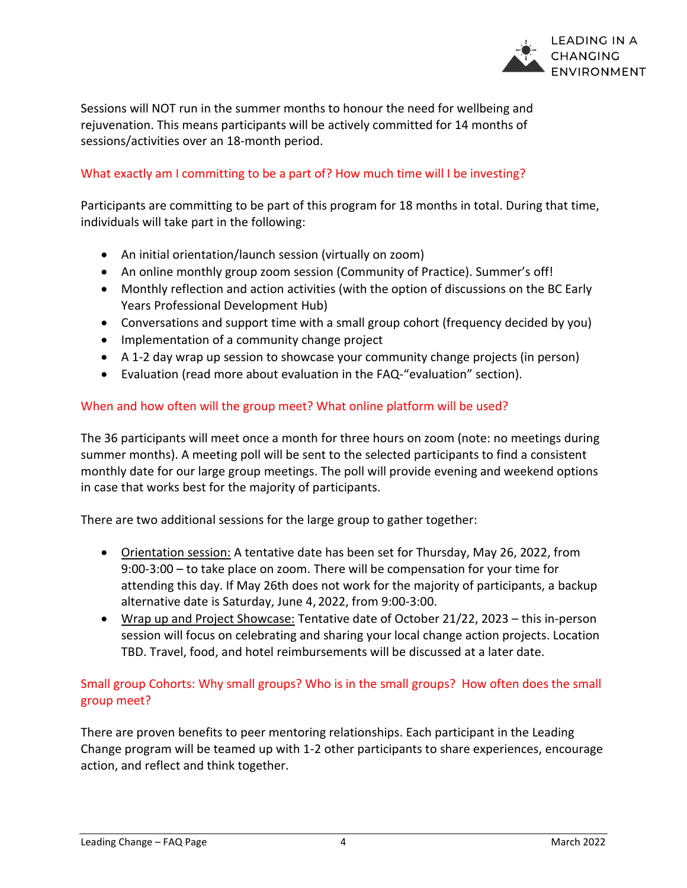

Sessions will NOT run in the summer months to honour the need for wellbeing and rejuvenation. This means participants will be actively committed for 14 months of sessions/activities over an 18-month period.

# What exactly am I committing to be a part of? How much time will I be investing?

Participants are committing to be part of this program for 18 months in total. During that time, individuals will take part in the following:

- An initial orientation/launch session (virtually on zoom)
- An online monthly group zoom session (Community of Practice). Summer's off!
- Monthly reflection and action activities (with the option of discussions on the BC Early Years Professional Development Hub)
- Conversations and support time with a small group cohort (frequency decided by you)
- Implementation of a community change project
- A 1-2 day wrap up session to showcase your community change projects (in person)
- Evaluation (read more about evaluation in the FAQ-"evaluation" section).

# When and how often will the group meet? What online platform will be used?

The 36 participants will meet once a month for three hours on zoom (note: no meetings during summer months). A meeting poll will be sent to the selected participants to find a consistent monthly date for our large group meetings. The poll will provide evening and weekend options in case that works best for the majority of participants.

There are two additional sessions for the large group to gather together:

- Orientation session: A tentative date has been set for Thursday, May 26, 2022, from 9:00-3:00 – to take place on zoom. There will be compensation for your time for attending this day. If May 26th does not work for the majority of participants, a backup alternative date is Saturday, June 4, 2022, from 9:00-3:00.
- Wrap up and Project Showcase: Tentative date of October 21/22, 2023 this in-person session will focus on celebrating and sharing your local change action projects. Location TBD. Travel, food, and hotel reimbursements will be discussed at a later date.

# Small group Cohorts: Why small groups? Who is in the small groups? How often does the small group meet?

There are proven benefits to peer mentoring relationships. Each participant in the Leading Change program will be teamed up with 1-2 other participants to share experiences, encourage action, and reflect and think together.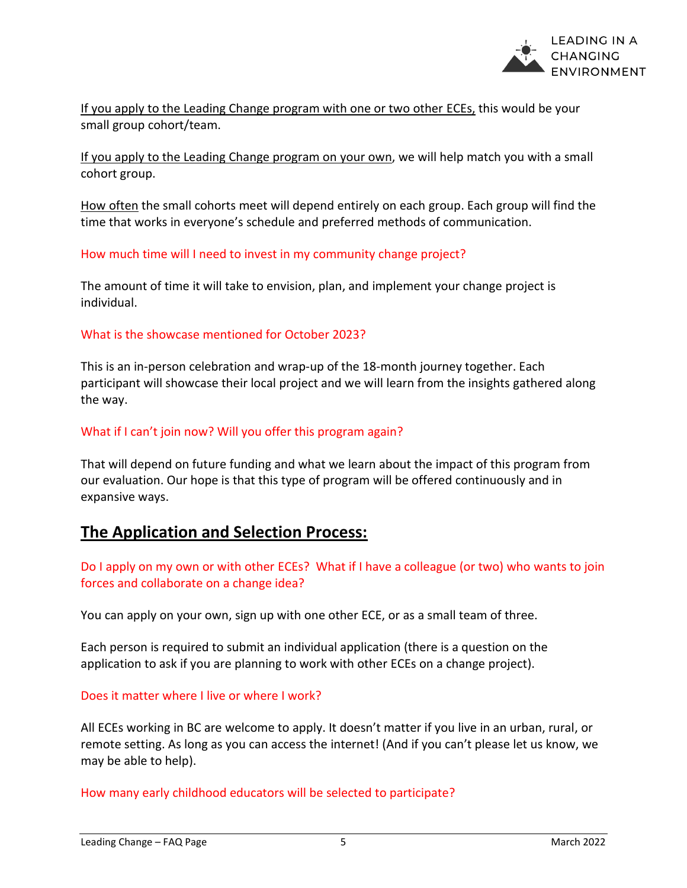

If you apply to the Leading Change program with one or two other ECEs, this would be your small group cohort/team.

If you apply to the Leading Change program on your own, we will help match you with a small cohort group.

How often the small cohorts meet will depend entirely on each group. Each group will find the time that works in everyone's schedule and preferred methods of communication.

How much time will I need to invest in my community change project?

The amount of time it will take to envision, plan, and implement your change project is individual.

#### What is the showcase mentioned for October 2023?

This is an in-person celebration and wrap-up of the 18-month journey together. Each participant will showcase their local project and we will learn from the insights gathered along the way.

### What if I can't join now? Will you offer this program again?

That will depend on future funding and what we learn about the impact of this program from our evaluation. Our hope is that this type of program will be offered continuously and in expansive ways.

# **The Application and Selection Process:**

Do I apply on my own or with other ECEs? What if I have a colleague (or two) who wants to join forces and collaborate on a change idea?

You can apply on your own, sign up with one other ECE, or as a small team of three.

Each person is required to submit an individual application (there is a question on the application to ask if you are planning to work with other ECEs on a change project).

### Does it matter where I live or where I work?

All ECEs working in BC are welcome to apply. It doesn't matter if you live in an urban, rural, or remote setting. As long as you can access the internet! (And if you can't please let us know, we may be able to help).

How many early childhood educators will be selected to participate?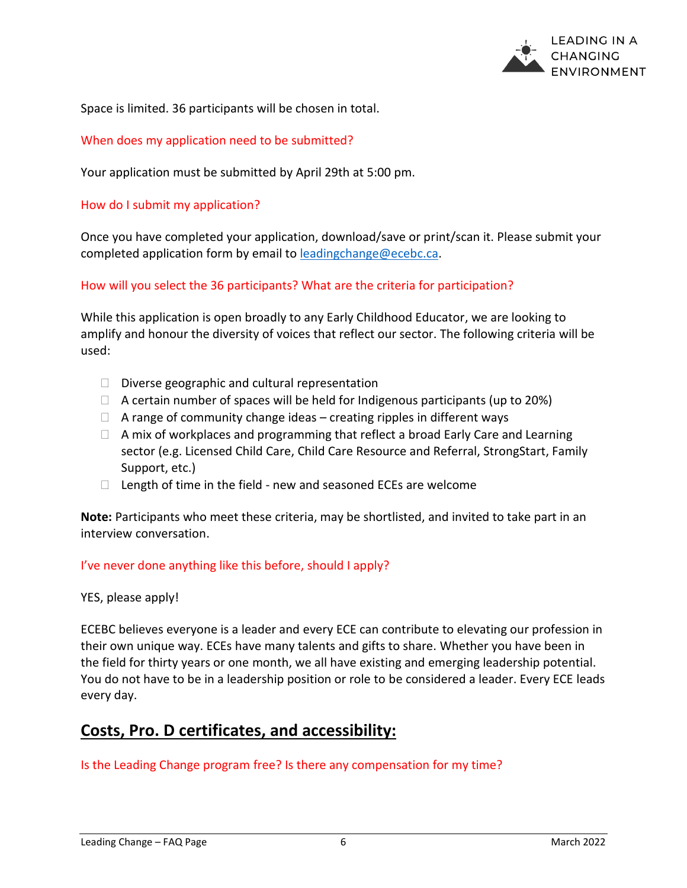

Space is limited. 36 participants will be chosen in total.

### When does my application need to be submitted?

Your application must be submitted by April 29th at 5:00 pm.

#### How do I submit my application?

Once you have completed your application, download/save or print/scan it. Please submit your completed application form by email to [leadingchange@ecebc.ca.](mailto:leadingchange@ecebc.ca)

### How will you select the 36 participants? What are the criteria for participation?

While this application is open broadly to any Early Childhood Educator, we are looking to amplify and honour the diversity of voices that reflect our sector. The following criteria will be used:

- $\Box$  Diverse geographic and cultural representation
- $\Box$  A certain number of spaces will be held for Indigenous participants (up to 20%)
- $\Box$  A range of community change ideas creating ripples in different ways
- $\Box$  A mix of workplaces and programming that reflect a broad Early Care and Learning sector (e.g. Licensed Child Care, Child Care Resource and Referral, StrongStart, Family Support, etc.)
- $\Box$  Length of time in the field new and seasoned ECEs are welcome

**Note:** Participants who meet these criteria, may be shortlisted, and invited to take part in an interview conversation.

### I've never done anything like this before, should I apply?

### YES, please apply!

ECEBC believes everyone is a leader and every ECE can contribute to elevating our profession in their own unique way. ECEs have many talents and gifts to share. Whether you have been in the field for thirty years or one month, we all have existing and emerging leadership potential. You do not have to be in a leadership position or role to be considered a leader. Every ECE leads every day.

# **Costs, Pro. D certificates, and accessibility:**

Is the Leading Change program free? Is there any compensation for my time?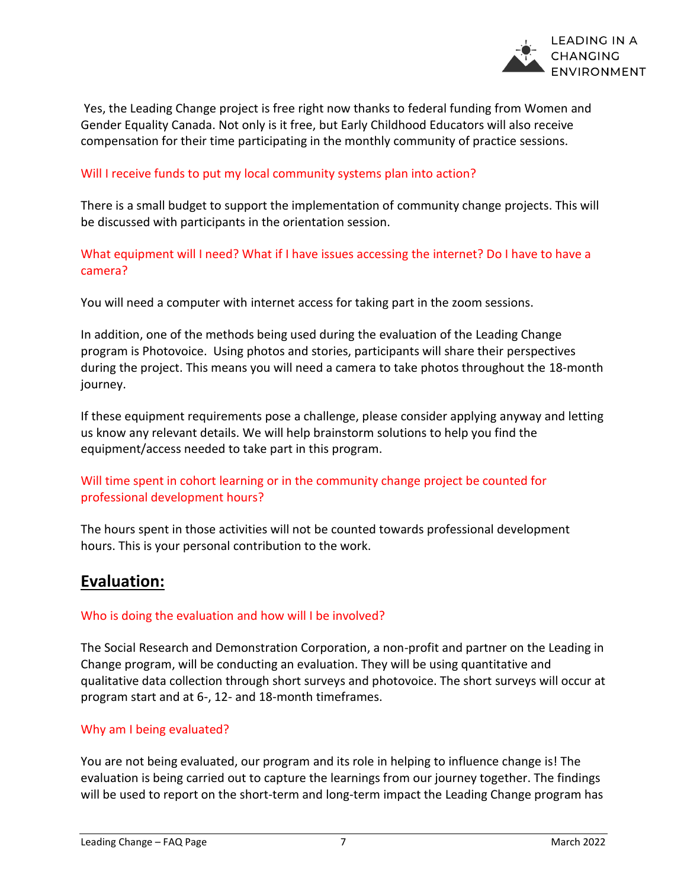

Yes, the Leading Change project is free right now thanks to federal funding from Women and Gender Equality Canada. Not only is it free, but Early Childhood Educators will also receive compensation for their time participating in the monthly community of practice sessions.

### Will I receive funds to put my local community systems plan into action?

There is a small budget to support the implementation of community change projects. This will be discussed with participants in the orientation session.

What equipment will I need? What if I have issues accessing the internet? Do I have to have a camera?

You will need a computer with internet access for taking part in the zoom sessions.

In addition, one of the methods being used during the evaluation of the Leading Change program is Photovoice. Using photos and stories, participants will share their perspectives during the project. This means you will need a camera to take photos throughout the 18-month journey.

If these equipment requirements pose a challenge, please consider applying anyway and letting us know any relevant details. We will help brainstorm solutions to help you find the equipment/access needed to take part in this program.

# Will time spent in cohort learning or in the community change project be counted for professional development hours?

The hours spent in those activities will not be counted towards professional development hours. This is your personal contribution to the work.

# **Evaluation:**

### Who is doing the evaluation and how will I be involved?

The Social Research and Demonstration Corporation, a non-profit and partner on the Leading in Change program, will be conducting an evaluation. They will be using quantitative and qualitative data collection through short surveys and photovoice. The short surveys will occur at program start and at 6-, 12- and 18-month timeframes.

# Why am I being evaluated?

You are not being evaluated, our program and its role in helping to influence change is! The evaluation is being carried out to capture the learnings from our journey together. The findings will be used to report on the short-term and long-term impact the Leading Change program has